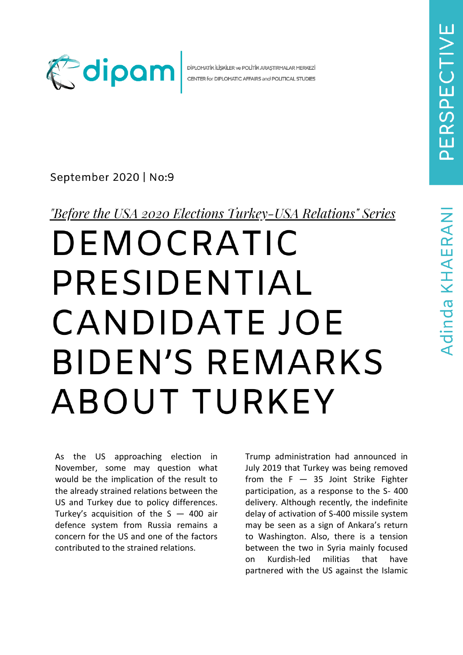

DİPLOMATİK İLİŞKİLER ve POLİTİK ARAŞTIRMALAR MERKEZİ CENTER for DIPLOMATIC AFFAIRS and POLITICAL STUDIES

September 2020 | No:9

<u>"Before the USA 2020 Elections Turkey-USA Relations" Series</u>

## DEMOCRATIC PRESIDENTIAL **CANDIDATE JOE BIDEN'S REMARKS** ABOUT TURKEY

As the US approaching election in November, some may question what would be the implication of the result to the already strained relations between the US and Turkey due to policy differences. Turkey's acquisition of the  $S - 400$  air defence system from Russia remains a concern for the US and one of the factors contributed to the strained relations.

Trump administration had announced in July 2019 that Turkey was being removed from the  $F - 35$  Joint Strike Fighter participation, as a response to the S- 400 delivery. Although recently, the indefinite delay of activation of S-400 missile system may be seen as a sign of Ankara's return to Washington. Also, there is a tension between the two in Syria mainly focused on Kurdish-led militias that have partnered with the US against the Islamic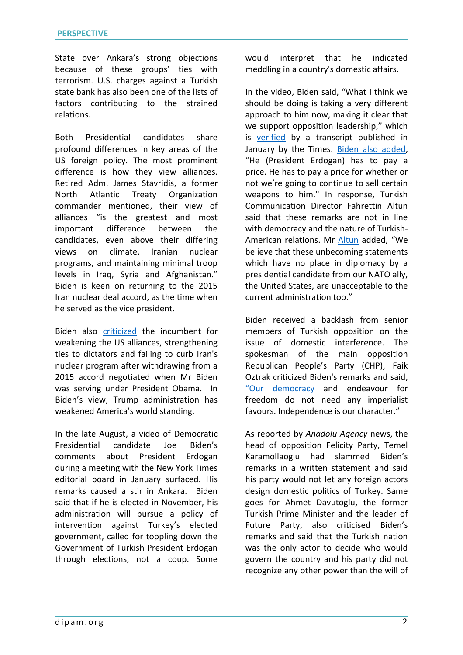State over Ankara's strong objections because of these groups' ties with terrorism. U.S. charges against a Turkish state bank has also been one of the lists of factors contributing to the strained relations.

Both Presidential candidates share profound differences in key areas of the US foreign policy. The most prominent difference is how they view alliances. [Retired Adm. James Stavridis,](https://www.wsj.com/articles/where-trump-and-biden-stand-on-foreign-policy-11600507801) a former North Atlantic Treaty Organization commander mentioned, their view of alliances "is the greatest and most important difference between the candidates, even above their differing views on climate, Iranian nuclear programs, and maintaining minimal troop levels in Iraq, Syria and Afghanistan." Biden is keen on returning to the 2015 Iran nuclear deal accord, as the time when he served as the vice president.

Biden also [criticized](https://www.wsj.com/articles/where-trump-and-biden-stand-on-foreign-policy-11600507801) the incumbent for weakening the US alliances, strengthening ties to dictators and failing to curb Iran's nuclear program after withdrawing from a 2015 accord negotiated when Mr Biden was serving under President Obama. In Biden's view, Trump administration has weakened America's world standing.

In the late August, a video of Democratic Presidential candidate Joe Biden's comments about President Erdogan during a meeting with the New York Times editorial board in January surfaced. His remarks caused a stir in Ankara. Biden said that if he is elected in November, his administration will pursue a policy of intervention against Turkey's elected government, called for toppling down the Government of Turkish President Erdogan through elections, not a coup. Some

would interpret that he indicated meddling in a country's domestic affairs.

In the video, Biden said, "What I think we should be doing is taking a very different approach to him now, making it clear that we support opposition leadership," which is [verified](https://www.reuters.com/article/us-usa-election-biden-turkey-idUSKCN25B0XS) by a transcript published in January by the Times. [Biden also added,](https://www.aa.com.tr/en/americas/us-biden-hints-at-interference-in-2023-turkish-polls/1943292) "He (President Erdogan) has to pay a price. He has to pay a price for whether or not we're going to continue to sell certain weapons to him." In response, Turkish Communication Director Fahrettin Altun said that these remarks are not in line with democracy and the nature of Turkish-American relations. Mr [Altun](https://www.reuters.com/article/us-usa-election-biden-turkey-idUSKCN25B0XS) added, "We believe that these unbecoming statements which have no place in diplomacy by a presidential candidate from our NATO ally, the United States, are unacceptable to the current administration too."

Biden received a backlash from senior members of Turkish opposition on the issue of domestic interference. The spokesman of the main opposition Republican People's Party (CHP), Faik Oztrak criticized Biden's remarks and said, ["Our democracy](https://www.aa.com.tr/en/americas/turkish-opposition-lambasts-biden-s-remarks-on-turkey/1943406) and endeavour for freedom do not need any imperialist favours. Independence is our character."

As reported by *Anadolu Agency* news, the head of opposition Felicity Party, Temel Karamollaoglu had slammed Biden's remarks in a written statement and said his party would not let any foreign actors design domestic politics of Turkey. Same goes for Ahmet Davutoglu, the former Turkish Prime Minister and the leader of Future Party, also criticised Biden's remarks and said that the Turkish nation was the only actor to decide who would govern the country and his party did not recognize any other power than the will of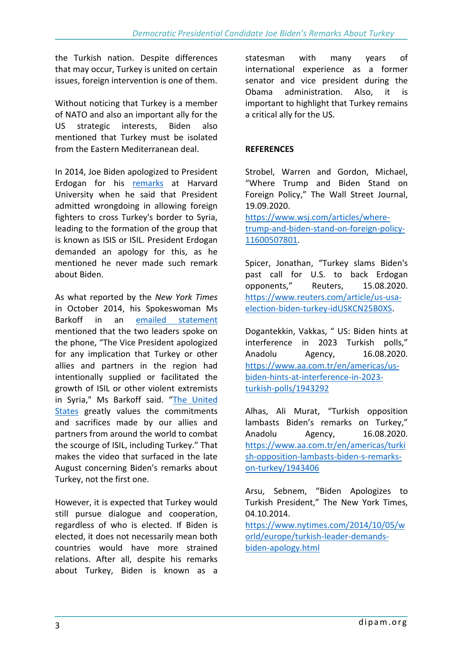the Turkish nation. Despite differences that may occur, Turkey is united on certain issues, foreign intervention is one of them.

Without noticing that Turkey is a member of NATO and also an important ally for the US strategic interests, Biden also mentioned that Turkey must be isolated from the Eastern Mediterranean deal.

In 2014, Joe Biden apologized to President Erdogan for his [remarks](https://www.nytimes.com/2014/10/05/world/europe/turkish-leader-demands-biden-apology.html) at Harvard University when he said that President admitted wrongdoing in allowing foreign fighters to cross Turkey's border to Syria, leading to the formation of the group that is known as ISIS or ISIL. President Erdogan demanded an apology for this, as he mentioned he never made such remark about Biden.

As what reported by the *New York Times* in October 2014, his Spokeswoman Ms Barkoff in an [emailed statement](https://www.nytimes.com/2014/10/05/world/europe/turkish-leader-demands-biden-apology.html) mentioned that the two leaders spoke on the phone, "The Vice President apologized for any implication that Turkey or other allies and partners in the region had intentionally supplied or facilitated the growth of ISIL or other violent extremists in Syria," Ms Barkoff said. "[The United](https://www.nytimes.com/2014/10/05/world/europe/turkish-leader-demands-biden-apology.html)  [States](https://www.nytimes.com/2014/10/05/world/europe/turkish-leader-demands-biden-apology.html) greatly values the commitments and sacrifices made by our allies and partners from around the world to combat the scourge of ISIL, including Turkey." That makes the video that surfaced in the late August concerning Biden's remarks about Turkey, not the first one.

However, it is expected that Turkey would still pursue dialogue and cooperation, regardless of who is elected. If Biden is elected, it does not necessarily mean both countries would have more strained relations. After all, despite his remarks about Turkey, Biden is known as a

statesman with many years of international experience as a former senator and vice president during the Obama administration. Also, it is important to highlight that Turkey remains a critical ally for the US.

## **REFERENCES**

Strobel, Warren and Gordon, Michael, "Where Trump and Biden Stand on Foreign Policy," The Wall Street Journal, 19.09.2020.

[https://www.wsj.com/articles/where](https://www.wsj.com/articles/where-trump-and-biden-stand-on-foreign-policy-11600507801)[trump-and-biden-stand-on-foreign-policy-](https://www.wsj.com/articles/where-trump-and-biden-stand-on-foreign-policy-11600507801)[11600507801.](https://www.wsj.com/articles/where-trump-and-biden-stand-on-foreign-policy-11600507801)

Spicer, Jonathan, "Turkey slams Biden's past call for U.S. to back Erdogan opponents," Reuters, 15.08.2020. [https://www.reuters.com/article/us-usa](https://www.reuters.com/article/us-usa-election-biden-turkey-idUSKCN25B0XS)[election-biden-turkey-idUSKCN25B0XS.](https://www.reuters.com/article/us-usa-election-biden-turkey-idUSKCN25B0XS)

Dogantekkin, Vakkas, " US: Biden hints at interference in 2023 Turkish polls," Anadolu Agency, 16.08.2020. [https://www.aa.com.tr/en/americas/us](https://www.aa.com.tr/en/americas/us-biden-hints-at-interference-in-2023-turkish-polls/1943292)[biden-hints-at-interference-in-2023](https://www.aa.com.tr/en/americas/us-biden-hints-at-interference-in-2023-turkish-polls/1943292) [turkish-polls/1943292](https://www.aa.com.tr/en/americas/us-biden-hints-at-interference-in-2023-turkish-polls/1943292)

Alhas, Ali Murat, "Turkish opposition lambasts Biden's remarks on Turkey," Anadolu Agency, 16.08.2020. [https://www.aa.com.tr/en/americas/turki](https://www.aa.com.tr/en/americas/turkish-opposition-lambasts-biden-s-remarks-on-turkey/1943406) [sh-opposition-lambasts-biden-s-remarks](https://www.aa.com.tr/en/americas/turkish-opposition-lambasts-biden-s-remarks-on-turkey/1943406)[on-turkey/1943406](https://www.aa.com.tr/en/americas/turkish-opposition-lambasts-biden-s-remarks-on-turkey/1943406)

Arsu, Sebnem, "Biden Apologizes to Turkish President," The New York Times, 04.10.2014.

[https://www.nytimes.com/2014/10/05/w](https://www.nytimes.com/2014/10/05/world/europe/turkish-leader-demands-biden-apology.html) [orld/europe/turkish-leader-demands](https://www.nytimes.com/2014/10/05/world/europe/turkish-leader-demands-biden-apology.html)[biden-apology.html](https://www.nytimes.com/2014/10/05/world/europe/turkish-leader-demands-biden-apology.html)